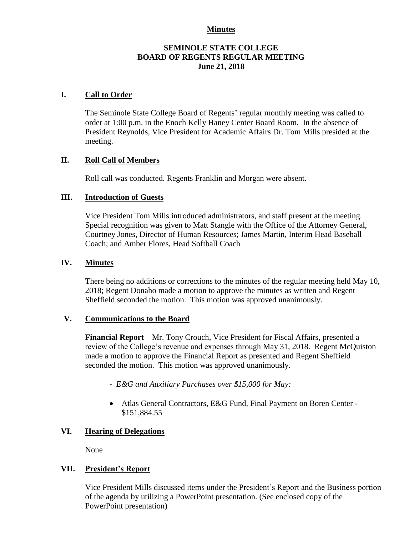#### **Minutes**

# **SEMINOLE STATE COLLEGE BOARD OF REGENTS REGULAR MEETING June 21, 2018**

# **I. Call to Order**

The Seminole State College Board of Regents' regular monthly meeting was called to order at 1:00 p.m. in the Enoch Kelly Haney Center Board Room. In the absence of President Reynolds, Vice President for Academic Affairs Dr. Tom Mills presided at the meeting.

#### **II. Roll Call of Members**

Roll call was conducted. Regents Franklin and Morgan were absent.

#### **III. Introduction of Guests**

Vice President Tom Mills introduced administrators, and staff present at the meeting. Special recognition was given to Matt Stangle with the Office of the Attorney General, Courtney Jones, Director of Human Resources; James Martin, Interim Head Baseball Coach; and Amber Flores, Head Softball Coach

#### **IV. Minutes**

There being no additions or corrections to the minutes of the regular meeting held May 10, 2018; Regent Donaho made a motion to approve the minutes as written and Regent Sheffield seconded the motion. This motion was approved unanimously.

### **V. Communications to the Board**

**Financial Report** – Mr. Tony Crouch, Vice President for Fiscal Affairs, presented a review of the College's revenue and expenses through May 31, 2018. Regent McQuiston made a motion to approve the Financial Report as presented and Regent Sheffield seconded the motion. This motion was approved unanimously.

- *- E&G and Auxiliary Purchases over \$15,000 for May:*
- Atlas General Contractors, E&G Fund, Final Payment on Boren Center \$151,884.55

### **VI. Hearing of Delegations**

None

# **VII. President's Report**

Vice President Mills discussed items under the President's Report and the Business portion of the agenda by utilizing a PowerPoint presentation. (See enclosed copy of the PowerPoint presentation)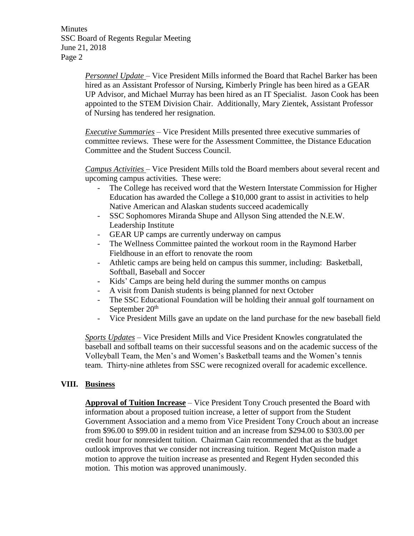**Minutes** SSC Board of Regents Regular Meeting June 21, 2018 Page 2

> *Personnel Update* – Vice President Mills informed the Board that Rachel Barker has been hired as an Assistant Professor of Nursing, Kimberly Pringle has been hired as a GEAR UP Advisor, and Michael Murray has been hired as an IT Specialist. Jason Cook has been appointed to the STEM Division Chair. Additionally, Mary Zientek, Assistant Professor of Nursing has tendered her resignation.

*Executive Summaries* – Vice President Mills presented three executive summaries of committee reviews. These were for the Assessment Committee, the Distance Education Committee and the Student Success Council.

*Campus Activities* – Vice President Mills told the Board members about several recent and upcoming campus activities. These were:

- The College has received word that the Western Interstate Commission for Higher Education has awarded the College a \$10,000 grant to assist in activities to help Native American and Alaskan students succeed academically
- SSC Sophomores Miranda Shupe and Allyson Sing attended the N.E.W. Leadership Institute
- GEAR UP camps are currently underway on campus
- The Wellness Committee painted the workout room in the Raymond Harber Fieldhouse in an effort to renovate the room
- Athletic camps are being held on campus this summer, including: Basketball, Softball, Baseball and Soccer
- Kids' Camps are being held during the summer months on campus
- A visit from Danish students is being planned for next October
- The SSC Educational Foundation will be holding their annual golf tournament on September 20<sup>th</sup>
- Vice President Mills gave an update on the land purchase for the new baseball field

*Sports Updates* – Vice President Mills and Vice President Knowles congratulated the baseball and softball teams on their successful seasons and on the academic success of the Volleyball Team, the Men's and Women's Basketball teams and the Women's tennis team. Thirty-nine athletes from SSC were recognized overall for academic excellence.

# **VIII. Business**

**Approval of Tuition Increase** – Vice President Tony Crouch presented the Board with information about a proposed tuition increase, a letter of support from the Student Government Association and a memo from Vice President Tony Crouch about an increase from \$96.00 to \$99.00 in resident tuition and an increase from \$294.00 to \$303.00 per credit hour for nonresident tuition. Chairman Cain recommended that as the budget outlook improves that we consider not increasing tuition. Regent McQuiston made a motion to approve the tuition increase as presented and Regent Hyden seconded this motion. This motion was approved unanimously.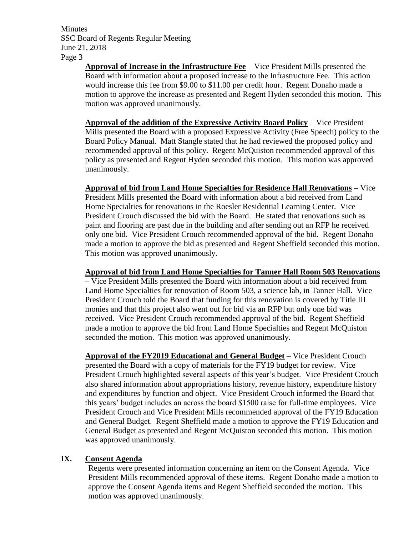**Minutes** SSC Board of Regents Regular Meeting June 21, 2018 Page 3

> **Approval of Increase in the Infrastructure Fee** – Vice President Mills presented the Board with information about a proposed increase to the Infrastructure Fee. This action would increase this fee from \$9.00 to \$11.00 per credit hour. Regent Donaho made a motion to approve the increase as presented and Regent Hyden seconded this motion. This motion was approved unanimously.

> **Approval of the addition of the Expressive Activity Board Policy** – Vice President Mills presented the Board with a proposed Expressive Activity (Free Speech) policy to the Board Policy Manual. Matt Stangle stated that he had reviewed the proposed policy and recommended approval of this policy. Regent McQuiston recommended approval of this policy as presented and Regent Hyden seconded this motion. This motion was approved unanimously.

> **Approval of bid from Land Home Specialties for Residence Hall Renovations** – Vice President Mills presented the Board with information about a bid received from Land Home Specialties for renovations in the Roesler Residential Learning Center. Vice President Crouch discussed the bid with the Board. He stated that renovations such as paint and flooring are past due in the building and after sending out an RFP he received only one bid. Vice President Crouch recommended approval of the bid. Regent Donaho made a motion to approve the bid as presented and Regent Sheffield seconded this motion. This motion was approved unanimously.

### **Approval of bid from Land Home Specialties for Tanner Hall Room 503 Renovations**

– Vice President Mills presented the Board with information about a bid received from Land Home Specialties for renovation of Room 503, a science lab, in Tanner Hall. Vice President Crouch told the Board that funding for this renovation is covered by Title III monies and that this project also went out for bid via an RFP but only one bid was received. Vice President Crouch recommended approval of the bid. Regent Sheffield made a motion to approve the bid from Land Home Specialties and Regent McQuiston seconded the motion. This motion was approved unanimously.

**Approval of the FY2019 Educational and General Budget** – Vice President Crouch presented the Board with a copy of materials for the FY19 budget for review. Vice President Crouch highlighted several aspects of this year's budget. Vice President Crouch also shared information about appropriations history, revenue history, expenditure history and expenditures by function and object. Vice President Crouch informed the Board that this years' budget includes an across the board \$1500 raise for full-time employees. Vice President Crouch and Vice President Mills recommended approval of the FY19 Education and General Budget. Regent Sheffield made a motion to approve the FY19 Education and General Budget as presented and Regent McQuiston seconded this motion. This motion was approved unanimously.

# **IX. Consent Agenda**

Regents were presented information concerning an item on the Consent Agenda. Vice President Mills recommended approval of these items. Regent Donaho made a motion to approve the Consent Agenda items and Regent Sheffield seconded the motion. This motion was approved unanimously.